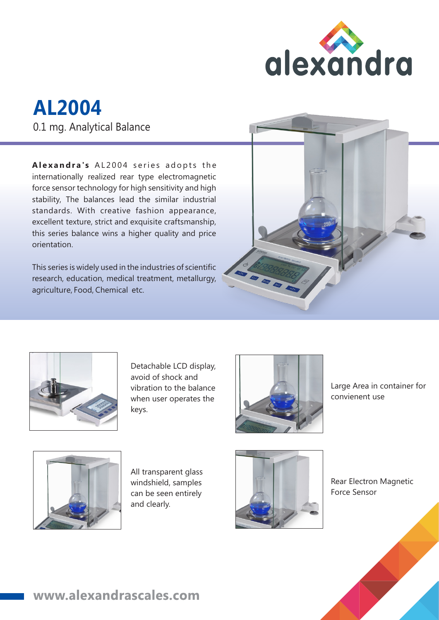

# **AL2004** 0.1 mg. Analytical Balance

Alexandra's AL2004 series adopts the internationally realized rear type electromagnetic force sensor technology for high sensitivity and high stability, The balances lead the similar industrial standards. With creative fashion appearance, excellent texture, strict and exquisite craftsmanship, this series balance wins a higher quality and price orientation.

This series is widely used in the industries of scientific research, education, medical treatment, metallurgy, agriculture, Food, Chemical etc.





Detachable LCD display, avoid of shock and vibration to the balance when user operates the keys.



Large Area in container for convienent use



All transparent glass windshield, samples can be seen entirely and clearly.



Rear Electron Magnetic Force Sensor